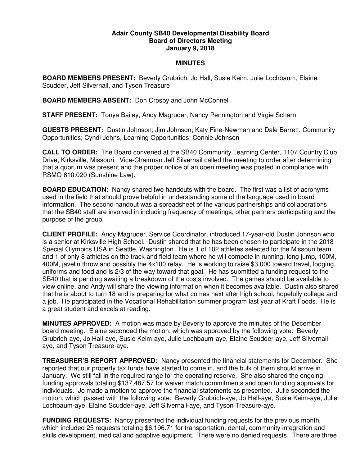## **Adair County SB40 Developmental Disability Board Board of Directors Meeting January 9, 2018**

## **MINUTES**

**BOARD MEMBERS PRESENT:** Beverly Grubrich, Jo Hall, Susie Keim, Julie Lochbaum, Elaine Scudder, Jeff Silvernail, and Tyson Treasure

**BOARD MEMBERS ABSENT:** Don Crosby and John McConnell

**STAFF PRESENT:** Tonya Bailey, Andy Magruder, Nancy Pennington and Virgie Scharn

**GUESTS PRESENT:** Dustin Johnson; Jim Johnson; Katy Fine-Newman and Dale Barrett, Community Opportunities; Cyndi Johns, Learning Opportunities; Connie Johnson

**CALL TO ORDER:** The Board convened at the SB40 Community Learning Center, 1107 Country Club Drive, Kirksville, Missouri. Vice-Chairman Jeff Silvernail called the meeting to order after determining that a quorum was present and the proper notice of an open meeting was posted in compliance with RSMO 610.020 (Sunshine Law).

**BOARD EDUCATION:** Nancy shared two handouts with the board. The first was a list of acronyms used in the field that should prove helpful in understanding some of the language used in board information. The second handout was a spreadsheet of the various partnerships and collaborations that the SB40 staff are involved in including frequency of meetings, other partners participating and the purpose of the group.

**CLIENT PROFILE:** Andy Magruder, Service Coordinator, introduced 17-year-old Dustin Johnson who is a senior at Kirksville High School. Dustin shared that he has been chosen to participate in the 2018 Special Olympics USA in Seattle, Washington. He is 1 of 102 athletes selected for the Missouri team and 1 of only 8 athletes on the track and field team where he will compete in running, long jump, 100M, 400M, javelin throw and possibly the 4x100 relay. He is working to raise \$3,000 toward travel, lodging, uniforms and food and is 2/3 of the way toward that goal. He has submitted a funding request to the SB40 that is pending awaiting a breakdown of the costs involved. The games should be available to view online, and Andy will share the viewing information when it becomes available. Dustin also shared that he is about to turn 18 and is preparing for what comes next after high school, hopefully college and a job. He participated in the Vocational Rehabilitation summer program last year at Kraft Foods. He is a great student and excels at reading.

**MINUTES APPROVED:** A motion was made by Beverly to approve the minutes of the December board meeting. Elaine seconded the motion, which was approved by the following vote: Beverly Grubrich-aye, Jo Hall-aye, Susie Keim-aye, Julie Lochbaum-aye, Elaine Scudder-aye, Jeff Silvernailaye, and Tyson Treasure-aye.

**TREASURER'S REPORT APPROVED:** Nancy presented the financial statements for December. She reported that our property tax funds have started to come in, and the bulk of them should arrive in January. We still fall in the required range for the operating reserve. She also shared the ongoing funding approvals totaling \$137,487.57 for waiver match commitments and open funding approvals for individuals. Jo made a motion to approve the financial statements as presented. Julie seconded the motion, which passed with the following vote: Beverly Grubrich-aye, Jo Hall-aye, Susie Keim-aye, Julie Lochbaum-aye, Elaine Scudder-aye, Jeff Silvernail-aye, and Tyson Treasure-aye.

**FUNDING REQUESTS:** Nancy presented the individual funding requests for the previous month, which included 25 requests totaling \$6,196.71 for transportation, dental, community integration and skills development, medical and adaptive equipment. There were no denied requests. There are three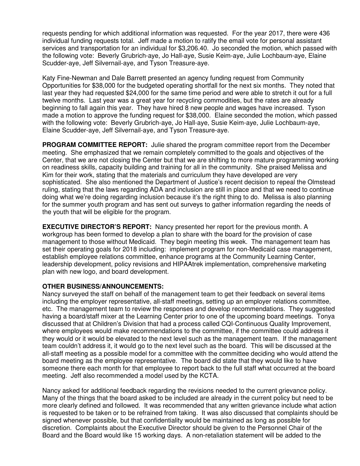requests pending for which additional information was requested. For the year 2017, there were 436 individual funding requests total. Jeff made a motion to ratify the email vote for personal assistant services and transportation for an individual for \$3,206.40. Jo seconded the motion, which passed with the following vote: Beverly Grubrich-aye, Jo Hall-aye, Susie Keim-aye, Julie Lochbaum-aye, Elaine Scudder-aye, Jeff Silvernail-aye, and Tyson Treasure-aye.

Katy Fine-Newman and Dale Barrett presented an agency funding request from Community Opportunities for \$38,000 for the budgeted operating shortfall for the next six months. They noted that last year they had requested \$24,000 for the same time period and were able to stretch it out for a full twelve months. Last year was a great year for recycling commodities, but the rates are already beginning to fall again this year. They have hired 8 new people and wages have increased. Tyson made a motion to approve the funding request for \$38,000. Elaine seconded the motion, which passed with the following vote: Beverly Grubrich-aye, Jo Hall-aye, Susie Keim-aye, Julie Lochbaum-aye, Elaine Scudder-aye, Jeff Silvernail-aye, and Tyson Treasure-aye.

**PROGRAM COMMITTEE REPORT:** Julie shared the program committee report from the December meeting. She emphasized that we remain completely committed to the goals and objectives of the Center, that we are not closing the Center but that we are shifting to more mature programming working on readiness skills, capacity building and training for all in the community. She praised Melissa and Kim for their work, stating that the materials and curriculum they have developed are very sophisticated. She also mentioned the Department of Justice's recent decision to repeal the Olmstead ruling, stating that the laws regarding ADA and inclusion are still in place and that we need to continue doing what we're doing regarding inclusion because it's the right thing to do. Melissa is also planning for the summer youth program and has sent out surveys to gather information regarding the needs of the youth that will be eligible for the program.

**EXECUTIVE DIRECTOR'S REPORT:** Nancy presented her report for the previous month. A workgroup has been formed to develop a plan to share with the board for the provision of case management to those without Medicaid. They begin meeting this week. The management team has set their operating goals for 2018 including: implement program for non-Medicaid case management, establish employee relations committee, enhance programs at the Community Learning Center, leadership development, policy revisions and HIPAAtrek implementation, comprehensive marketing plan with new logo, and board development.

## **OTHER BUSINESS/ANNOUNCEMENTS:**

Nancy surveyed the staff on behalf of the management team to get their feedback on several items including the employer representative, all-staff meetings, setting up an employer relations committee, etc. The management team to review the responses and develop recommendations. They suggested having a board/staff mixer at the Learning Center prior to one of the upcoming board meetings. Tonya discussed that at Children's Division that had a process called CQI-Continuous Quality Improvement, where employees would make recommendations to the committee, if the committee could address it they would or it would be elevated to the next level such as the management team. If the management team couldn't address it, it would go to the next level such as the board. This will be discussed at the all-staff meeting as a possible model for a committee with the committee deciding who would attend the board meeting as the employee representative. The board did state that they would like to have someone there each month for that employee to report back to the full staff what occurred at the board meeting. Jeff also recommended a model used by the KCTA.

Nancy asked for additional feedback regarding the revisions needed to the current grievance policy. Many of the things that the board asked to be included are already in the current policy but need to be more clearly defined and followed. It was recommended that any written grievance include what action is requested to be taken or to be refrained from taking. It was also discussed that complaints should be signed whenever possible, but that confidentiality would be maintained as long as possible for discretion. Complaints about the Executive Director should be given to the Personnel Chair of the Board and the Board would like 15 working days. A non-retaliation statement will be added to the